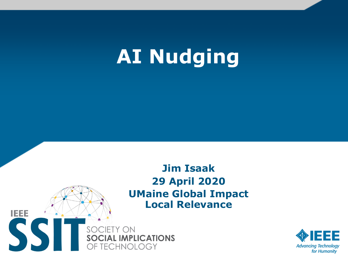# **AI Nudging**



SOCIETY ON **SOCIAL IMPLICATIONS** OF TECHNOLOGY

**IEEE** 

SSI

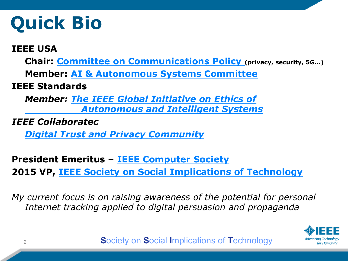## **Quick Bio**

#### **IEEE USA**

**Chair: [Committee on Communications Policy \(](https://ieeeusa.org/volunteers/committees/ccp/)privacy, security, 5G…)**

**Member: [AI & Autonomous Systems Committee](https://ieeeusa.org/volunteers/committees/aiaspc/)** 

#### **IEEE Standards**

*[Member: The IEEE Global Initiative on Ethics of](https://standards.ieee.org/industry-connections/ec/autonomous-systems.html)  Autonomous and Intelligent Systems*

*IEEE Collaboratec*

*[Digital Trust and Privacy Community](https://ieee-collabratec.ieee.org/app/community/1304/Digital-Privacy-and-Trust/activities)*

**President Emeritus – [IEEE Computer Society](http://www.computer.org/) 2015 VP, [IEEE Society on Social Implications of Technology](http://www.technologyandsociety.org/)**

*My current focus is on raising awareness of the potential for personal Internet tracking applied to digital persuasion and propaganda*

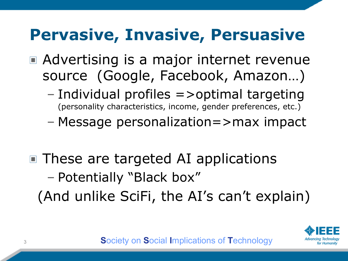## **Pervasive, Invasive, Persuasive**

- Advertising is a major internet revenue source (Google, Facebook, Amazon…)
	- Individual profiles =>optimal targeting (personality characteristics, income, gender preferences, etc.)
	- Message personalization=>max impact
- These are targeted AI applications – Potentially "Black box" (And unlike SciFi, the AI's can't explain)

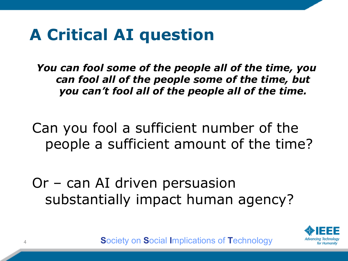### **A Critical AI question**

*You can fool some of the people all of the time, you can fool all of the people some of the time, but you can't fool all of the people all of the time.*

Can you fool a sufficient number of the people a sufficient amount of the time?

Or – can AI driven persuasion substantially impact human agency?

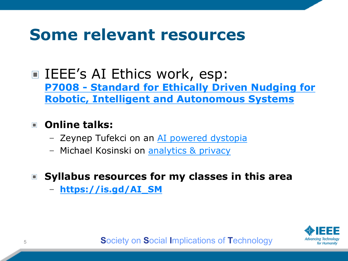### Some relevant resources

**E** IEEE's AI Ethics work, esp: P7008 - Standard for Ethically Driven Nudging for **Robotic, Intelligent and Autonomous Systems** 

#### **D** Online talks:

- Zeynep Tufekci on an AI powered dystopia
- Michael Kosinski on analytics & privacy
- Syllabus resources for my classes in this area
	- https://is.gd/AI\_SM